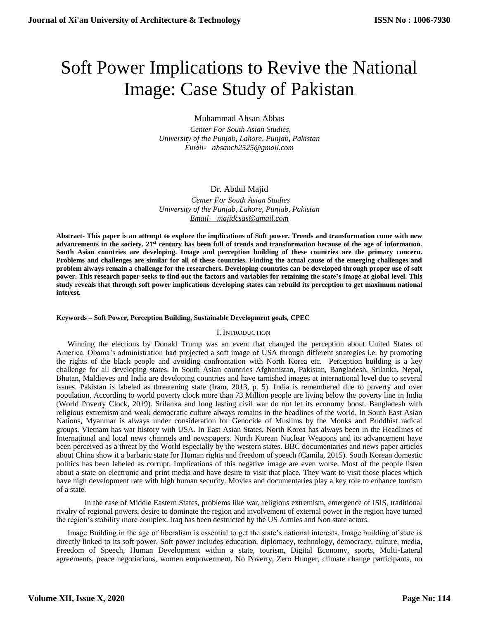# Soft Power Implications to Revive the National Image: Case Study of Pakistan

Muhammad Ahsan Abbas

 *Center For South Asian Studies, University of the Punjab, Lahore, Punjab, Pakistan [Email- ahsanch2525@gmail.com](mailto:Email-%20%20%20ahsanch2525@gmail.com)*

# Dr. Abdul Majid

 *Center For South Asian Studies University of the Punjab, Lahore, Punjab, Pakistan [Email- majidcsas@gmail.com](mailto:Email-%20%20%20majidcsas@gmail.com)*

**Abstract- This paper is an attempt to explore the implications of Soft power. Trends and transformation come with new advancements in the society. 21st century has been full of trends and transformation because of the age of information. South Asian countries are developing. Image and perception building of these countries are the primary concern. Problems and challenges are similar for all of these countries. Finding the actual cause of the emerging challenges and problem always remain a challenge for the researchers. Developing countries can be developed through proper use of soft power. This research paper seeks to find out the factors and variables for retaining the state's image at global level. This study reveals that through soft power implications developing states can rebuild its perception to get maximum national interest.**

### **Keywords – Soft Power, Perception Building, Sustainable Development goals, CPEC**

#### I. INTRODUCTION

Winning the elections by Donald Trump was an event that changed the perception about United States of America. Obama's administration had projected a soft image of USA through different strategies i.e. by promoting the rights of the black people and avoiding confrontation with North Korea etc. Perception building is a key challenge for all developing states. In South Asian countries Afghanistan, Pakistan, Bangladesh, Srilanka, Nepal, Bhutan, Maldieves and India are developing countries and have tarnished images at international level due to several issues. Pakistan is labeled as threatening state (Iram, 2013, p. 5). India is remembered due to poverty and over population. According to world poverty clock more than 73 Million people are living below the poverty line in India (World Poverty Clock, 2019). Srilanka and long lasting civil war do not let its economy boost. Bangladesh with religious extremism and weak democratic culture always remains in the headlines of the world. In South East Asian Nations, Myanmar is always under consideration for Genocide of Muslims by the Monks and Buddhist radical groups. Vietnam has war history with USA. In East Asian States, North Korea has always been in the Headlines of International and local news channels and newspapers. North Korean Nuclear Weapons and its advancement have been perceived as a threat by the World especially by the western states. BBC documentaries and news paper articles about China show it a barbaric state for Human rights and freedom of speech (Camila, 2015). South Korean domestic politics has been labeled as corrupt. Implications of this negative image are even worse. Most of the people listen about a state on electronic and print media and have desire to visit that place. They want to visit those places which have high development rate with high human security. Movies and documentaries play a key role to enhance tourism of a state.

In the case of Middle Eastern States, problems like war, religious extremism, emergence of ISIS, traditional rivalry of regional powers, desire to dominate the region and involvement of external power in the region have turned the region's stability more complex. Iraq has been destructed by the US Armies and Non state actors.

Image Building in the age of liberalism is essential to get the state's national interests. Image building of state is directly linked to its soft power. Soft power includes education, diplomacy, technology, democracy, culture, media, Freedom of Speech, Human Development within a state, tourism, Digital Economy, sports, Multi-Lateral agreements, peace negotiations, women empowerment, No Poverty, Zero Hunger, climate change participants, no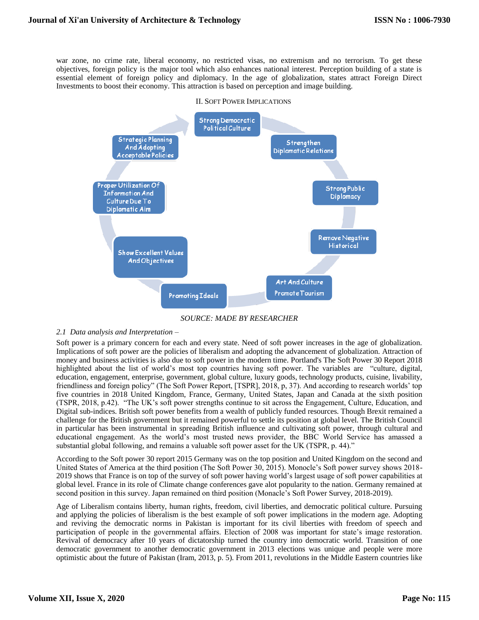war zone, no crime rate, liberal economy, no restricted visas, no extremism and no terrorism. To get these objectives, foreign policy is the major tool which also enhances national interest. Perception building of a state is essential element of foreign policy and diplomacy. In the age of globalization, states attract Foreign Direct Investments to boost their economy. This attraction is based on perception and image building.



#### II. SOFT POWER IMPLICATIONS

*SOURCE: MADE BY RESEARCHER*

## *2.1 Data analysis and Interpretation –*

Soft power is a primary concern for each and every state. Need of soft power increases in the age of globalization. Implications of soft power are the policies of liberalism and adopting the advancement of globalization. Attraction of money and business activities is also due to soft power in the modern time. Portland's The Soft Power 30 Report 2018 highlighted about the list of world's most top countries having soft power. The variables are "culture, digital, education, engagement, enterprise, government, global culture, luxury goods, technology products, cuisine, livability, friendliness and foreign policy" (The Soft Power Report, [TSPR], 2018, p, 37). And according to research worlds' top five countries in 2018 United Kingdom, France, Germany, United States, Japan and Canada at the sixth position (TSPR, 2018, p.42). "The UK's soft power strengths continue to sit across the Engagement, Culture, Education, and Digital sub-indices. British soft power benefits from a wealth of publicly funded resources. Though Brexit remained a challenge for the British government but it remained powerful to settle its position at global level. The British Council in particular has been instrumental in spreading British influence and cultivating soft power, through cultural and educational engagement. As the world's most trusted news provider, the BBC World Service has amassed a substantial global following, and remains a valuable soft power asset for the UK (TSPR, p. 44)."

According to the Soft power 30 report 2015 Germany was on the top position and United Kingdom on the second and United States of America at the third position (The Soft Power 30, 2015). Monocle's Soft power survey shows 2018- 2019 shows that France is on top of the survey of soft power having world's largest usage of soft power capabilities at global level. France in its role of Climate change conferences gave alot popularity to the nation. Germany remained at second position in this survey. Japan remained on third position (Monacle's Soft Power Survey, 2018-2019).

Age of Liberalism contains liberty, human rights, freedom, civil liberties, and democratic political culture. Pursuing and applying the policies of liberalism is the best example of soft power implications in the modern age. Adopting and reviving the democratic norms in Pakistan is important for its civil liberties with freedom of speech and participation of people in the governmental affairs. Election of 2008 was important for state's image restoration. Revival of democracy after 10 years of dictatorship turned the country into democratic world. Transition of one democratic government to another democratic government in 2013 elections was unique and people were more optimistic about the future of Pakistan (Iram, 2013, p. 5). From 2011, revolutions in the Middle Eastern countries like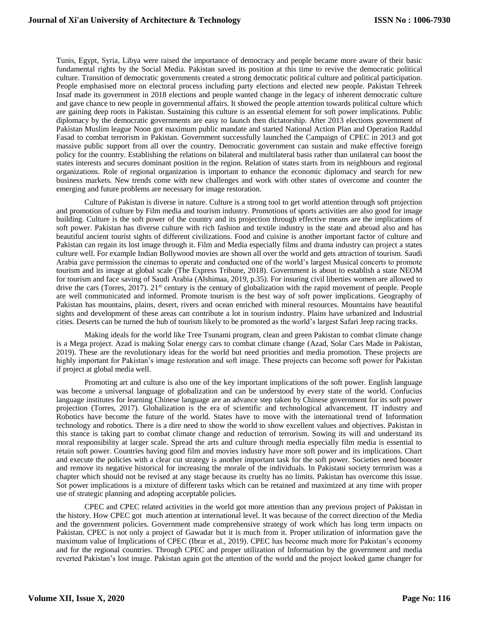Tunis, Egypt, Syria, Libya were raised the importance of democracy and people became more aware of their basic fundamental rights by the Social Media. Pakistan saved its position at this time to revive the democratic political culture. Transition of democratic governments created a strong democratic political culture and political participation. People emphasised more on electoral process including party elections and elected new people. Pakistan Tehreek Insaf made its government in 2018 elections and people wanted change in the legacy of inherent democratic culture and gave chance to new people in governmental affairs. It showed the people attention towards political culture which are gaining deep roots in Pakistan. Sustaining this culture is an essential element for soft power implications. Public diplomacy by the democratic governments are easy to launch then dictatorship. After 2013 elections government of Pakistan Muslim league Noon got maximum public mandate and started National Action Plan and Operation Raddul Fasad to combat terrorism in Pakistan. Government successfully launched the Campaign of CPEC in 2013 and got massive public support from all over the country. Democratic government can sustain and make effective foreign policy for the country. Establishing the relations on bilateral and multilateral basis rather than unilateral can boost the states interests and secures dominant position in the region. Relation of states starts from its neighbours and regional organizations. Role of regional organization is important to enhance the economic diplomacy and search for new business markets. New trends come with new challenges and work with other states of overcome and counter the emerging and future problems are necessary for image restoration.

Culture of Pakistan is diverse in nature. Culture is a strong tool to get world attention through soft projection and promotion of culture by Film media and tourism industry. Promotions of sports activities are also good for image building. Culture is the soft power of the country and its projection through effective means are the implications of soft power. Pakistan has diverse culture with rich fashion and textile industry in the state and abroad also and has beautiful ancient tourist sights of different civilizations. Food and cuisine is another important factor of culture and Pakistan can regain its lost image through it. Film and Media especially films and drama industry can project a states culture well. For example Indian Bollywood movies are shown all over the world and gets attraction of tourism. Saudi Arabia gave permission the cinemas to operate and conducted one of the world's largest Musical concerts to promote tourism and its image at global scale (The Express Tribune, 2018). Government is about to establish a state NEOM for tourism and face saving of Saudi Arabia (Alshimaa, 2019, p.35). For insuring civil liberties women are allowed to drive the cars (Torres, 2017). 21<sup>st</sup> century is the century of globalization with the rapid movement of people. People are well communicated and informed. Promote tourism is the best way of soft power implications. Geography of Pakistan has mountains, plains, desert, rivers and ocean enriched with mineral resources. Mountains have beautiful sights and development of these areas can contribute a lot in tourism industry. Plains have urbanized and Industrial cities. Deserts can be turned the hub of tourism likely to be promoted as the world's largest Safari Jeep racing tracks.

Making ideals for the world like Tree Tsunami program, clean and green Pakistan to combat climate change is a Mega project. Azad is making Solar energy cars to combat climate change (Azad, Solar Cars Made in Pakistan, 2019). These are the revolutionary ideas for the world but need priorities and media promotion. These projects are highly important for Pakistan's image restoration and soft image. These projects can become soft power for Pakistan if project at global media well.

Promoting art and culture is also one of the key important implications of the soft power. English language was become a universal language of globalization and can be understood by every state of the world. Confucius language institutes for learning Chinese language are an advance step taken by Chinese government for its soft power projection (Torres, 2017). Globalization is the era of scientific and technological advancement. IT industry and Robotics have become the future of the world. States have to move with the international trend of Information technology and robotics. There is a dire need to show the world to show excellent values and objectives. Pakistan in this stance is taking part to combat climate change and reduction of terrorism. Sowing its will and understand its moral responsibility at larger scale. Spread the arts and culture through media especially film media is essential to retain soft power. Countries having good film and movies industry have more soft power and its implications. Chart and execute the policies with a clear cut strategy is another important task for the soft power. Societies need booster and remove its negative historical for increasing the morale of the individuals. In Pakistani society terrorism was a chapter which should not be revised at any stage because its cruelty has no limits. Pakistan has overcome this issue. Sot power implications is a mixture of different tasks which can be retained and maximized at any time with proper use of strategic planning and adopting acceptable policies.

CPEC and CPEC related activities in the world got more attention than any previous project of Pakistan in the history. How CPEC got much attention at international level. It was because of the correct direction of the Media and the government policies. Government made comprehensive strategy of work which has long term impacts on Pakistan. CPEC is not only a project of Gawadar but it is much from it. Proper utilization of information gave the maximum value of Implications of CPEC (Ibrar et al., 2019). CPEC has become much more for Pakistan's economy and for the regional countries. Through CPEC and proper utilization of Information by the government and media reverted Pakistan's lost image. Pakistan again got the attention of the world and the project looked game changer for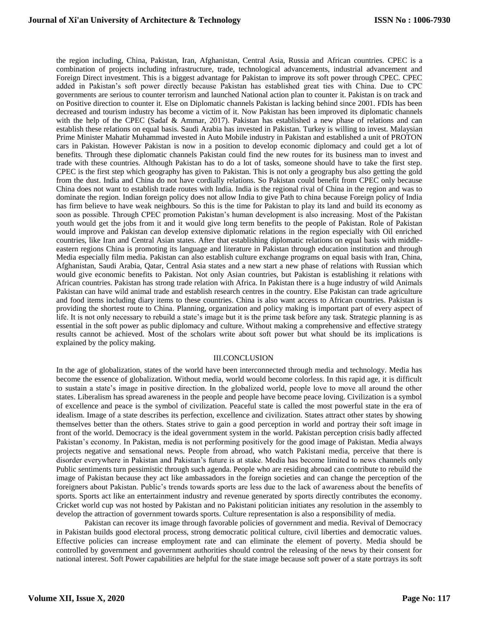the region including, China, Pakistan, Iran, Afghanistan, Central Asia, Russia and African countries. CPEC is a combination of projects including infrastructure, trade, technological advancements, industrial advancement and Foreign Direct investment. This is a biggest advantage for Pakistan to improve its soft power through CPEC. CPEC added in Pakistan's soft power directly because Pakistan has established great ties with China. Due to CPC governments are serious to counter terrorism and launched National action plan to counter it. Pakistan is on track and on Positive direction to counter it. Else on Diplomatic channels Pakistan is lacking behind since 2001. FDIs has been decreased and tourism industry has become a victim of it. Now Pakistan has been improved its diplomatic channels with the help of the CPEC (Sadaf & Ammar, 2017). Pakistan has established a new phase of relations and can establish these relations on equal basis. Saudi Arabia has invested in Pakistan. Turkey is willing to invest. Malaysian Prime Minister Mahatir Muhammad invested in Auto Mobile industry in Pakistan and established a unit of PROTON cars in Pakistan. However Pakistan is now in a position to develop economic diplomacy and could get a lot of benefits. Through these diplomatic channels Pakistan could find the new routes for its business man to invest and trade with these countries. Although Pakistan has to do a lot of tasks, someone should have to take the first step. CPEC is the first step which geography has given to Pakistan. This is not only a geography bus also getting the gold from the dust. India and China do not have cordially relations. So Pakistan could benefit from CPEC only because China does not want to establish trade routes with India. India is the regional rival of China in the region and was to dominate the region. Indian foreign policy does not allow India to give Path to china because Foreign policy of India has firm believe to have weak neighbours. So this is the time for Pakistan to play its land and build its economy as soon as possible. Through CPEC promotion Pakistan's human development is also increasing. Most of the Pakistan youth would get the jobs from it and it would give long term benefits to the people of Pakistan. Role of Pakistan would improve and Pakistan can develop extensive diplomatic relations in the region especially with Oil enriched countries, like Iran and Central Asian states. After that establishing diplomatic relations on equal basis with middleeastern regions China is promoting its language and literature in Pakistan through education institution and through Media especially film media. Pakistan can also establish culture exchange programs on equal basis with Iran, China, Afghanistan, Saudi Arabia, Qatar, Central Asia states and a new start a new phase of relations with Russian which would give economic benefits to Pakistan. Not only Asian countries, but Pakistan is establishing it relations with African countries. Pakistan has strong trade relation with Africa. In Pakistan there is a huge industry of wild Animals Pakistan can have wild animal trade and establish research centres in the country. Else Pakistan can trade agriculture and food items including diary items to these countries. China is also want access to African countries. Pakistan is providing the shortest route to China. Planning, organization and policy making is important part of every aspect of life. It is not only necessary to rebuild a state's image but it is the prime task before any task. Strategic planning is as essential in the soft power as public diplomacy and culture. Without making a comprehensive and effective strategy results cannot be achieved. Most of the scholars write about soft power but what should be its implications is explained by the policy making.

## III.CONCLUSION

In the age of globalization, states of the world have been interconnected through media and technology. Media has become the essence of globalization. Without media, world would become colorless. In this rapid age, it is difficult to sustain a state's image in positive direction. In the globalized world, people love to move all around the other states. Liberalism has spread awareness in the people and people have become peace loving. Civilization is a symbol of excellence and peace is the symbol of civilization. Peaceful state is called the most powerful state in the era of idealism. Image of a state describes its perfection, excellence and civilization. States attract other states by showing themselves better than the others. States strive to gain a good perception in world and portray their soft image in front of the world. Democracy is the ideal government system in the world. Pakistan perception crisis badly affected Pakistan's economy. In Pakistan, media is not performing positively for the good image of Pakistan. Media always projects negative and sensational news. People from abroad, who watch Pakistani media, perceive that there is disorder everywhere in Pakistan and Pakistan's future is at stake. Media has become limited to news channels only Public sentiments turn pessimistic through such agenda. People who are residing abroad can contribute to rebuild the image of Pakistan because they act like ambassadors in the foreign societies and can change the perception of the foreigners about Pakistan. Public's trends towards sports are less due to the lack of awareness about the benefits of sports. Sports act like an entertainment industry and revenue generated by sports directly contributes the economy. Cricket world cup was not hosted by Pakistan and no Pakistani politician initiates any resolution in the assembly to develop the attraction of government towards sports. Culture representation is also a responsibility of media.

Pakistan can recover its image through favorable policies of government and media. Revival of Democracy in Pakistan builds good electoral process, strong democratic political culture, civil liberties and democratic values. Effective policies can increase employment rate and can eliminate the element of poverty. Media should be controlled by government and government authorities should control the releasing of the news by their consent for national interest. Soft Power capabilities are helpful for the state image because soft power of a state portrays its soft